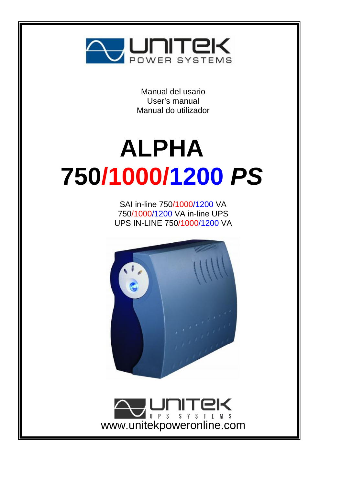

Manual del usario User's manual Manual do utilizador

# **ALPHA 750/1000/1200** *PS*

SAI in-line 750/1000/1200 VA 750/1000/1200 VA in-line UPS UPS IN-LINE 750/1000/1200 VA



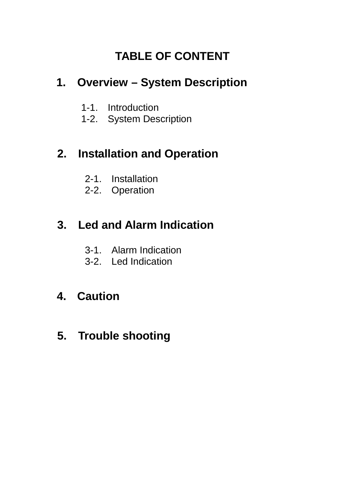# **TABLE OF CONTENT**

# **1. Overview – System Description**

- 1-1. Introduction
- 1-2. System Description

# **2. Installation and Operation**

- 2-1. Installation
- 2-2. Operation

# **3. Led and Alarm Indication**

- 3-1. Alarm Indication
- 3-2. Led Indication

# **4. Caution**

 **5. Trouble shooting**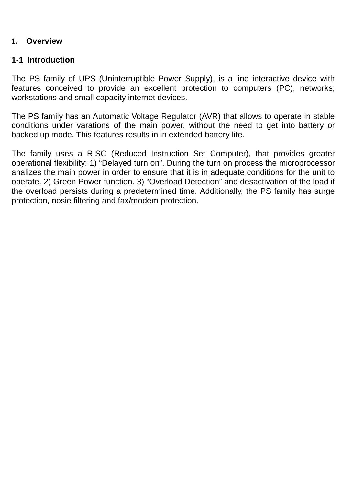#### **1. Overview**

#### **1-1 Introduction**

The PS family of UPS (Uninterruptible Power Supply), is a line interactive device with features conceived to provide an excellent protection to computers (PC), networks, workstations and small capacity internet devices.

The PS family has an Automatic Voltage Regulator (AVR) that allows to operate in stable conditions under varations of the main power, without the need to get into battery or backed up mode. This features results in in extended battery life.

The family uses a RISC (Reduced Instruction Set Computer), that provides greater operational flexibility: 1) "Delayed turn on". During the turn on process the microprocessor analizes the main power in order to ensure that it is in adequate conditions for the unit to operate. 2) Green Power function. 3) "Overload Detection" and desactivation of the load if the overload persists during a predetermined time. Additionally, the PS family has surge protection, nosie filtering and fax/modem protection.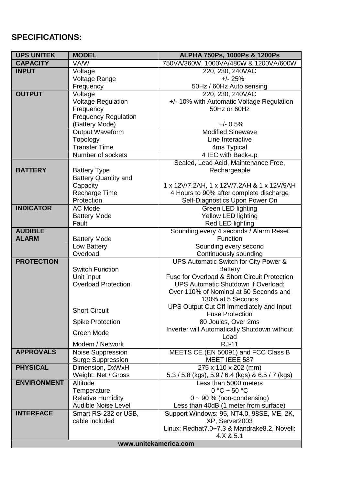## **SPECIFICATIONS:**

| <b>UPS UNITEK</b>  | <b>MODEL</b>                          | ALPHA 750Ps, 1000Ps & 1200Ps                        |  |
|--------------------|---------------------------------------|-----------------------------------------------------|--|
| <b>CAPACITY</b>    | <b>VA/W</b>                           | 750VA/360W, 1000VA/480W & 1200VA/600W               |  |
| <b>INPUT</b>       | Voltage                               | 220, 230, 240VAC                                    |  |
|                    | Voltage Range                         | $+/- 25%$                                           |  |
|                    | Frequency                             | 50Hz / 60Hz Auto sensing                            |  |
| <b>OUTPUT</b>      | Voltage                               | 220, 230, 240VAC                                    |  |
|                    | Voltage Regulation                    | +/- 10% with Automatic Voltage Regulation           |  |
|                    | Frequency                             | 50Hz or 60Hz                                        |  |
|                    | Frequency Regulation                  |                                                     |  |
|                    | (Battery Mode)                        | $+/- 0.5%$                                          |  |
|                    | Output Waveform                       | <b>Modified Sinewave</b>                            |  |
|                    | Topology                              | Line Interactive                                    |  |
|                    | <b>Transfer Time</b>                  | 4ms Typical                                         |  |
|                    | Number of sockets                     | 4 IEC with Back-up                                  |  |
|                    |                                       | Sealed, Lead Acid, Maintenance Free,                |  |
| <b>BATTERY</b>     | <b>Battery Type</b>                   | Rechargeable                                        |  |
|                    | Battery Quantity and                  |                                                     |  |
|                    | Capacity                              | 1 x 12V/7.2AH, 1 x 12V/7.2AH & 1 x 12V/9AH          |  |
|                    | Recharge Time                         | 4 Hours to 90% after complete discharge             |  |
|                    | Protection                            | Self-Diagnostics Upon Power On                      |  |
| <b>INDICATOR</b>   | AC Mode                               | Green LED lighting                                  |  |
|                    | <b>Battery Mode</b>                   | Yellow LED lighting                                 |  |
|                    | Fault                                 | Red LED lighting                                    |  |
| <b>AUDIBLE</b>     |                                       | Sounding every 4 seconds / Alarm Reset              |  |
| <b>ALARM</b>       | <b>Battery Mode</b>                   | Function                                            |  |
|                    | Low Battery                           | Sounding every second                               |  |
|                    | Overload                              | Continuously sounding                               |  |
| <b>PROTECTION</b>  |                                       | UPS Automatic Switch for City Power &               |  |
|                    | Switch Function                       | <b>Battery</b>                                      |  |
|                    | Unit Input                            | Fuse for Overload & Short Circuit Protection        |  |
|                    | <b>Overload Protection</b>            | UPS Automatic Shutdown if Overload:                 |  |
|                    |                                       | Over 110% of Nominal at 60 Seconds and              |  |
|                    |                                       | 130% at 5 Seconds                                   |  |
|                    | <b>Short Circuit</b>                  | UPS Output Cut Off Immediately and Input            |  |
|                    |                                       | <b>Fuse Protection</b>                              |  |
|                    | <b>Spike Protection</b>               | 80 Joules, Over 2ms                                 |  |
|                    | Green Mode                            | Inverter will Automatically Shutdown without        |  |
|                    |                                       | Load                                                |  |
| <b>APPROVALS</b>   | Modem / Network                       | <b>RJ-11</b><br>MEETS CE (EN 50091) and FCC Class B |  |
|                    | Noise Suppression                     |                                                     |  |
| <b>PHYSICAL</b>    | Surge Suppression<br>Dimension, DxWxH | MEET IEEE 587<br>275 x 110 x 202 (mm)               |  |
|                    | Weight: Net / Gross                   | 5.3 / 5.8 (kgs), 5.9 / 6.4 (kgs) & 6.5 / 7 (kgs)    |  |
| <b>ENVIRONMENT</b> | Altitude                              | Less than 5000 meters                               |  |
|                    | Temperature                           | $0 °C \sim 50 °C$                                   |  |
|                    | <b>Relative Humidity</b>              | $0 \sim 90$ % (non-condensing)                      |  |
|                    | Audible Noise Level                   | Less than 40dB (1 meter from surface)               |  |
| <b>INTERFACE</b>   | Smart RS-232 or USB,                  | Support Windows: 95, NT4.0, 98SE, ME, 2K,           |  |
|                    | cable included                        | XP, Server2003                                      |  |
|                    |                                       | Linux: Redhat7.0~7.3 & Mandrake8.2, Novell:         |  |
|                    |                                       | 4. X & 5.1                                          |  |
|                    | www.unitekamerica.com                 |                                                     |  |
|                    |                                       |                                                     |  |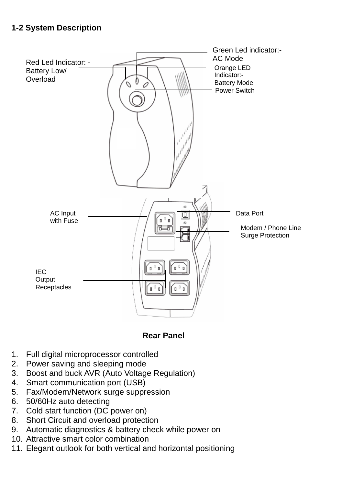### **1-2 System Description**



#### **Rear Panel**

- 1. Full digital microprocessor controlled
- 2. Power saving and sleeping mode
- 3. Boost and buck AVR (Auto Voltage Regulation)
- 4. Smart communication port (USB)
- 5. Fax/Modem/Network surge suppression
- 6. 50/60Hz auto detecting
- 7. Cold start function (DC power on)
- 8. Short Circuit and overload protection
- 9. Automatic diagnostics & battery check while power on
- 10. Attractive smart color combination
- 11. Elegant outlook for both vertical and horizontal positioning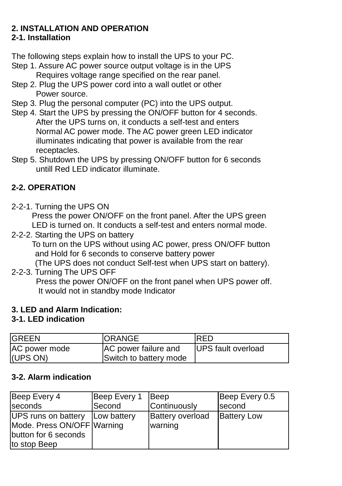# **2. INSTALLATION AND OPERATION**

### **2-1. Installation**

The following steps explain how to install the UPS to your PC.

- Step 1. Assure AC power source output voltage is in the UPS Requires voltage range specified on the rear panel.
- Step 2. Plug the UPS power cord into a wall outlet or other Power source.
- Step 3. Plug the personal computer (PC) into the UPS output.
- Step 4. Start the UPS by pressing the ON/OFF button for 4 seconds. After the UPS turns on, it conducts a self-test and enters Normal AC power mode. The AC power green LED indicator illuminates indicating that power is available from the rear receptacles.
- Step 5. Shutdown the UPS by pressing ON/OFF button for 6 seconds untill Red LED indicator illuminate.

# **2-2. OPERATION**

2-2-1. Turning the UPS ON

Press the power ON/OFF on the front panel. After the UPS green LED is turned on. It conducts a self-test and enters normal mode.

2-2-2. Starting the UPS on battery

To turn on the UPS without using AC power, press ON/OFF button and Hold for 6 seconds to conserve battery power

(The UPS does not conduct Self-test when UPS start on battery).

#### 2-2-3. Turning The UPS OFF

 Press the power ON/OFF on the front panel when UPS power off. It would not in standby mode Indicator

#### **3. LED and Alarm Indication:**

#### **3-1. LED indication**

| <b>GREEN</b>              | <b>ORANGE</b>                                  | RED                        |
|---------------------------|------------------------------------------------|----------------------------|
| AC power mode<br>(UPS ON) | AC power failure and<br>Switch to battery mode | <b>IUPS</b> fault overload |

#### **3-2. Alarm indication**

| Beep Every 4                                                                              | Beep Every 1 | Beep                               | Beep Every 0.5     |
|-------------------------------------------------------------------------------------------|--------------|------------------------------------|--------------------|
| seconds                                                                                   | Second       | Continuously                       | second             |
| UPS runs on battery<br>Mode. Press ON/OFF Warning<br>button for 6 seconds<br>to stop Beep | Low battery  | <b>Battery overload</b><br>warning | <b>Battery Low</b> |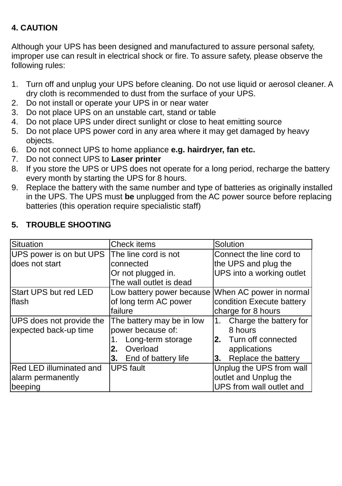# **4. CAUTION**

Although your UPS has been designed and manufactured to assure personal safety, improper use can result in electrical shock or fire. To assure safety, please observe the following rules:

- 1. Turn off and unplug your UPS before cleaning. Do not use liquid or aerosol cleaner. A dry cloth is recommended to dust from the surface of your UPS.
- 2. Do not install or operate your UPS in or near water
- 3. Do not place UPS on an unstable cart, stand or table
- 4. Do not place UPS under direct sunlight or close to heat emitting source
- 5. Do not place UPS power cord in any area where it may get damaged by heavy objects.
- 6. Do not connect UPS to home appliance **e.g. hairdryer, fan etc.**
- 7. Do not connect UPS to **Laser printer**
- 8. If you store the UPS or UPS does not operate for a long period, recharge the battery every month by starting the UPS for 8 hours.
- 9. Replace the battery with the same number and type of batteries as originally installed in the UPS. The UPS must **be** unplugged from the AC power source before replacing batteries (this operation require specialistic staff)

| Situation                      | Check items               | Solution                     |
|--------------------------------|---------------------------|------------------------------|
| UPS power is on but UPS        | The line cord is not      | Connect the line cord to     |
| ldoes not start                | connected                 | the UPS and plug the         |
|                                | Or not plugged in.        | UPS into a working outlet    |
|                                | The wall outlet is dead   |                              |
| Start UPS but red LED          | Low battery power because | When AC power in normal      |
| lflash                         | of long term AC power     | condition Execute battery    |
|                                | failure                   | charge for 8 hours           |
| UPS does not provide the       | The battery may be in low | Charge the battery for<br>1. |
| expected back-up time          | power because of:         | 8 hours                      |
|                                | Long-term storage         | 2. Turn off connected        |
|                                | Overload<br>2.            | applications                 |
|                                | End of battery life<br>3. | Replace the battery<br>3.    |
| <b>Red LED illuminated and</b> | <b>UPS</b> fault          | Unplug the UPS from wall     |
| alarm permanently              |                           | outlet and Unplug the        |
| beeping                        |                           | UPS from wall outlet and     |

#### **5. TROUBLE SHOOTING**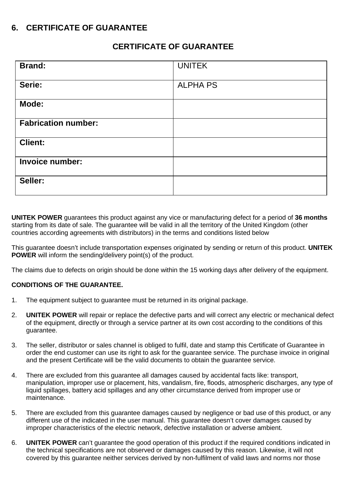#### **6. CERTIFICATE OF GUARANTEE**

#### **CERTIFICATE OF GUARANTEE**

| <b>Brand:</b>              | <b>UNITEK</b>   |
|----------------------------|-----------------|
| Serie:                     | <b>ALPHA PS</b> |
| Mode:                      |                 |
| <b>Fabrication number:</b> |                 |
| <b>Client:</b>             |                 |
| Invoice number:            |                 |
| Seller:                    |                 |

**UNITEK POWER** guarantees this product against any vice or manufacturing defect for a period of **36 months** starting from its date of sale. The guarantee will be valid in all the territory of the United Kingdom (other countries according agreements with distributors) in the terms and conditions listed below

This guarantee doesn't include transportation expenses originated by sending or return of this product. **UNITEK POWER** will inform the sending/delivery point(s) of the product.

The claims due to defects on origin should be done within the 15 working days after delivery of the equipment.

#### **CONDITIONS OF THE GUARANTEE.**

- 1. The equipment subject to guarantee must be returned in its original package.
- 2. **UNITEK POWER** will repair or replace the defective parts and will correct any electric or mechanical defect of the equipment, directly or through a service partner at its own cost according to the conditions of this guarantee.
- 3. The seller, distributor or sales channel is obliged to fulfil, date and stamp this Certificate of Guarantee in order the end customer can use its right to ask for the guarantee service. The purchase invoice in original and the present Certificate will be the valid documents to obtain the guarantee service.
- 4. There are excluded from this guarantee all damages caused by accidental facts like: transport, manipulation, improper use or placement, hits, vandalism, fire, floods, atmospheric discharges, any type of liquid spillages, battery acid spillages and any other circumstance derived from improper use or maintenance.
- 5. There are excluded from this guarantee damages caused by negligence or bad use of this product, or any different use of the indicated in the user manual. This guarantee doesn't cover damages caused by improper characteristics of the electric network, defective installation or adverse ambient.
- 6. **UNITEK POWER** can't guarantee the good operation of this product if the required conditions indicated in the technical specifications are not observed or damages caused by this reason. Likewise, it will not covered by this guarantee neither services derived by non-fulfilment of valid laws and norms nor those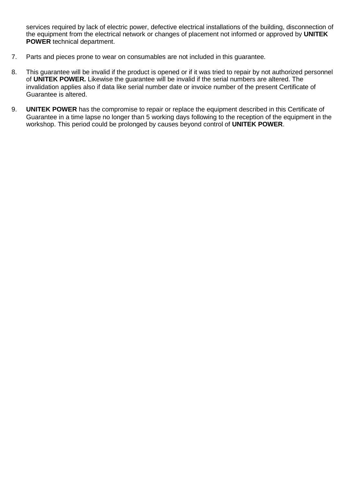services required by lack of electric power, defective electrical installations of the building, disconnection of the equipment from the electrical network or changes of placement not informed or approved by **UNITEK POWER** technical department.

- 7. Parts and pieces prone to wear on consumables are not included in this guarantee.
- 8. This guarantee will be invalid if the product is opened or if it was tried to repair by not authorized personnel of **UNITEK POWER.** Likewise the guarantee will be invalid if the serial numbers are altered. The invalidation applies also if data like serial number date or invoice number of the present Certificate of Guarantee is altered.
- 9. **UNITEK POWER** has the compromise to repair or replace the equipment described in this Certificate of Guarantee in a time lapse no longer than 5 working days following to the reception of the equipment in the workshop. This period could be prolonged by causes beyond control of **UNITEK POWER**.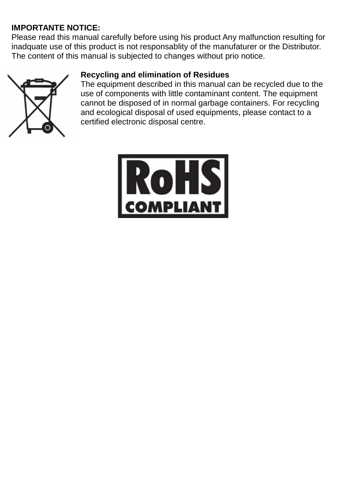# **IMPORTANTE NOTICE:**

Please read this manual carefully before using his product Any malfunction resulting for inadquate use of this product is not responsablity of the manufaturer or the Distributor. The content of this manual is subjected to changes without prio notice.



#### **Recycling and elimination of Residues**

The equipment described in this manual can be recycled due to the use of components with little contaminant content. The equipment cannot be disposed of in normal garbage containers. For recycling and ecological disposal of used equipments, please contact to a certified electronic disposal centre.

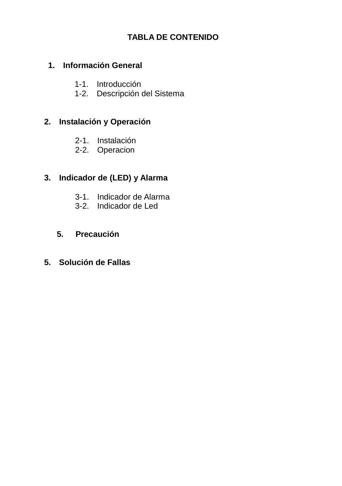## **TABLA DE CONTENIDO**

## **1. Información General**

- 1-1. Introducción
- 1-2. Descripción del Sistema

#### **2. Instalación y Operación**

- 2-1. Instalación
- 2-2. Operacion

## **3. Indicador de (LED) y Alarma**

- 3-1. Indicador de Alarma
- 3-2. Indicador de Led

#### **5. Precaución**

#### **5. Solución de Fallas**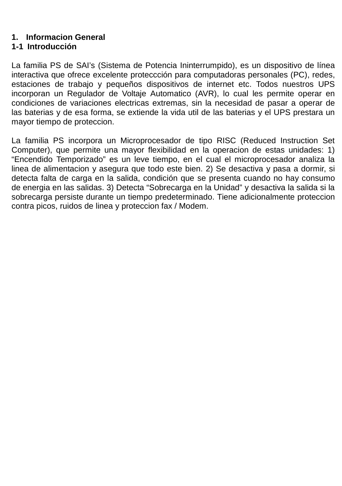#### **1. Informacion General**

# **1-1 Introducción**

La familia PS de SAI's (Sistema de Potencia Ininterrumpido), es un dispositivo de línea interactiva que ofrece excelente proteccción para computadoras personales (PC), redes, estaciones de trabajo y pequeños dispositivos de internet etc. Todos nuestros UPS incorporan un Regulador de Voltaje Automatico (AVR), lo cual les permite operar en condiciones de variaciones electricas extremas, sin la necesidad de pasar a operar de las baterias y de esa forma, se extiende la vida util de las baterias y el UPS prestara un mayor tiempo de proteccion.

La familia PS incorpora un Microprocesador de tipo RISC (Reduced Instruction Set Computer), que permite una mayor flexibilidad en la operacion de estas unidades: 1) "Encendido Temporizado" es un leve tiempo, en el cual el microprocesador analiza la linea de alimentacion y asegura que todo este bien. 2) Se desactiva y pasa a dormir, si detecta falta de carga en la salida, condición que se presenta cuando no hay consumo de energia en las salidas. 3) Detecta "Sobrecarga en la Unidad" y desactiva la salida si la sobrecarga persiste durante un tiempo predeterminado. Tiene adicionalmente proteccion contra picos, ruidos de linea y proteccion fax / Modem.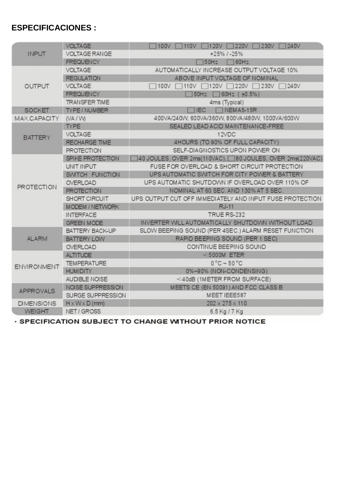# **ESPECIFICACIONES :**

|                    | <b>VOLTAGE</b>             | 120V 220V D<br>100V<br>1110V F<br>230V<br>240V           |
|--------------------|----------------------------|----------------------------------------------------------|
| <b>INPUT</b>       | <b>VOLTAGE RANGE</b>       | $+25\%$ / $-25\%$                                        |
|                    | <b>FREQUENCY</b>           | 150Hz 160Hz                                              |
|                    | <b>VOLTAGE</b>             | AUTOMATICALLY INCREASE OUTPUT VOLTAGE 10%                |
|                    | <b>REGULATION</b>          | ABOVE INPUT VOLTAGE OF NOMINAL                           |
| <b>OUTPUT</b>      | <b>VOLTAGE</b>             | 100V 110V 120V 220V 230V 1<br>240V                       |
|                    | <b>FREQUENCY</b>           | 50Hz 60Hz (±0.5%)                                        |
|                    | <b>TRANSFER TIME</b>       | 4ms (Typical)                                            |
| <b>SOCKET</b>      | TYPE / NUMBER              | TIEC<br>NEMA5-15R                                        |
| MAX.CAPACITY       | (VA/W)                     | 400VA/240W, 600VA/360W, 800VA/480W, 1000VA/600W          |
|                    | <b>TYPE</b>                | SEALED LEAD ACID MAINTENANCE-FREE                        |
| <b>BATTERY</b>     | <b>VOLTAGE</b>             | 12VDC                                                    |
|                    | <b>RECHARGE TIME</b>       | 4HOURS (TO 90% OF FULL CAPACITY)                         |
|                    | <b>PROTECTION</b>          | SELF-DIAGNOSTICS UPON POWER ON                           |
|                    | SPIKE PROTECTION           | 40 JOULES, OVER 2ms(110VAC), 80 JOULES, OVER 2ms(220VAC) |
|                    | UNIT INPUT                 | FUSE FOR OVERLOAD & SHORT CIRCUIT PROTECTION             |
|                    | SWITCH FUNCTION            | UPS AUTOMATIC SWITCH FOR CITY POWER & BATTERY            |
| <b>PROTECTION</b>  | OVERLOAD                   | UPS AUTOMATIC SHUTDOWN IF OVERLOAD OVER 110% OF          |
|                    | <b>PROTECTION</b>          | NOMINAL AT 60 SEC. AND 130% AT 5 SEC.                    |
|                    | SHORT CIRCUIT              | UPS OUTPUT CUT OFF IMMEDIATELY AND INPUT FUSE PROTECTION |
|                    | <b>MODEM / NETWORK</b>     | <b>RJ-11</b>                                             |
|                    | <b>INTERFACE</b>           | TRUE RS-232                                              |
|                    | <b>GREEN MODE</b>          | INVERTER WILL AUTOMATICALLY SHUTDOWN WITHOUT LOAD        |
|                    | <b>BATTERY BACK-UP</b>     | SLOW BEEPING SOUND (PER 4SEC.) ALARM RESET FUNCTION      |
| <b>ALARM</b>       | <b>BATTERY LOW</b>         | RAPID BEEPING SOUND (PER 1 SEC)                          |
|                    | <b>OVERLOAD</b>            | CONTINUE BEEPING SOUND                                   |
|                    | <b>ALTITUDE</b>            | $<$ 5000M ETER                                           |
| <b>ENVIRONMENT</b> | <b>TEMPERATURE</b>         | $0^{\circ}$ C ~ 50 $^{\circ}$ C                          |
|                    | <b>HUMIDITY</b>            | 0%~90% (NON-CONDENSING)                                  |
|                    | AUDIBLE NOISE              | <40dB (1METER FROM SURFACE)                              |
| APPROVALS          | NOISE SUPPRESSION          | MEETS CE (EN 50091) AND FCC CLASS B                      |
|                    | SURGE SUPPRESSION          | MEET IEEE587                                             |
| <b>DIMENSIONS</b>  | $H \times W \times D$ (mm) | 202 x 275 x 110                                          |
| <b>WEIGHT</b>      | NET/GROSS                  | 6.5 Kg / 7 Kg                                            |

· SPECIFICATION SUBJECT TO CHANGE WITHOUT PRIOR NOTICE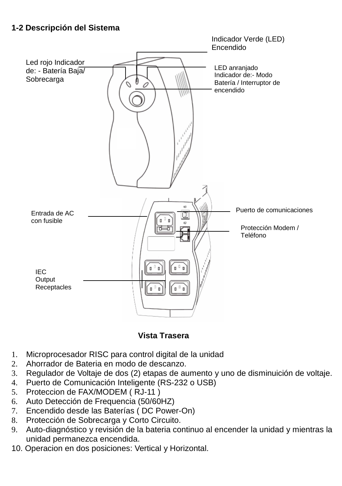### **1-2 Descripción del Sistema**



**Vista Trasera**

- 1. Microprocesador RISC para control digital de la unidad
- 2. Ahorrador de Bateria en modo de descanzo.
- 3. Regulador de Voltaje de dos (2) etapas de aumento y uno de disminuición de voltaje.
- 4. Puerto de Comunicación Inteligente (RS-232 o USB)
- 5. Proteccion de FAX/MODEM ( RJ-11 )
- 6. Auto Detección de Frequencia (50/60HZ)
- 7. Encendido desde las Baterías ( DC Power-On)
- 8. Protección de Sobrecarga y Corto Circuito.
- 9. Auto-diagnóstico y revisión de la bateria continuo al encender la unidad y mientras la unidad permanezca encendida.
- 10. Operacion en dos posiciones: Vertical y Horizontal.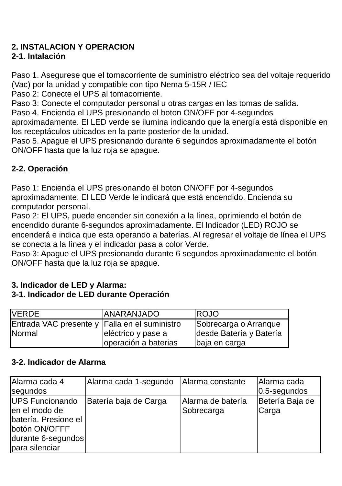# **2. INSTALACION Y OPERACION**

### **2-1. Intalación**

Paso 1. Asegurese que el tomacorriente de suministro eléctrico sea del voltaje requerido (Vac) por la unidad y compatible con tipo Nema 5-15R / IEC

Paso 2: Conecte el UPS al tomacorriente.

Paso 3: Conecte el computador personal u otras cargas en las tomas de salida.

Paso 4. Encienda el UPS presionando el boton ON/OFF por 4-segundos

aproximadamente. El LED verde se ilumina indicando que la energía está disponible en los receptáculos ubicados en la parte posterior de la unidad.

Paso 5. Apague el UPS presionando durante 6 segundos aproximadamente el botón ON/OFF hasta que la luz roja se apague.

# **2-2. Operación**

Paso 1: Encienda el UPS presionando el boton ON/OFF por 4-segundos aproximadamente. El LED Verde le indicará que está encendido. Encienda su computador personal.

Paso 2: El UPS, puede encender sin conexión a la línea, oprimiendo el botón de encendido durante 6-segundos aproximadamente. El Indicador (LED) ROJO se encenderá e indica que esta operando a baterías. Al regresar el voltaje de línea el UPS se conecta a la línea y el indicador pasa a color Verde.

Paso 3: Apague el UPS presionando durante 6 segundos aproximadamente el botón ON/OFF hasta que la luz roja se apague.

#### **3. Indicador de LED y Alarma:**

### **3-1. Indicador de LED durante Operación**

| <b>VERDE</b>                                  | <b>ANARANJADO</b>    | <b>IROJO</b>            |
|-----------------------------------------------|----------------------|-------------------------|
| Entrada VAC presente y Falla en el suministro |                      | Sobrecarga o Arranque   |
| Normal                                        | eléctrico y pase a   | desde Batería y Batería |
|                                               | operación a baterias | baja en carga           |

#### **3-2. Indicador de Alarma**

| Alarma cada 4        | Alarma cada 1-segundo | Alarma constante  | Alarma cada     |
|----------------------|-----------------------|-------------------|-----------------|
| segundos             |                       |                   | 0.5-segundos    |
| UPS Funcionando      | Batería baja de Carga | Alarma de batería | Betería Baja de |
| len el modo de       |                       | Sobrecarga        | Carga           |
| batería. Presione el |                       |                   |                 |
| botón ON/OFFF        |                       |                   |                 |
| durante 6-segundos   |                       |                   |                 |
| para silenciar       |                       |                   |                 |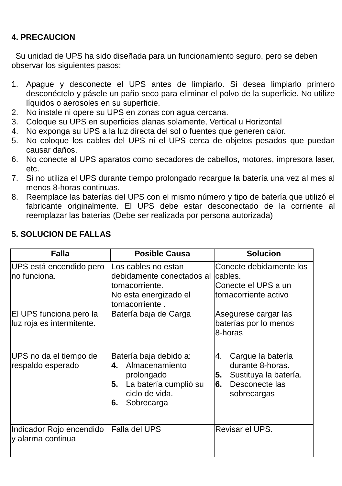## **4. PRECAUCION**

 Su unidad de UPS ha sido diseñada para un funcionamiento seguro, pero se deben observar los siguientes pasos:

- 1. Apague y desconecte el UPS antes de limpiarlo. Si desea limpiarlo primero desconéctelo y pásele un paño seco para eliminar el polvo de la superficie. No utilize líquidos o aerosoles en su superficie.
- 2. No instale ni opere su UPS en zonas con agua cercana.
- 3. Coloque su UPS en superficies planas solamente, Vertical u Horizontal
- 4. No exponga su UPS a la luz directa del sol o fuentes que generen calor.
- 5. No coloque los cables del UPS ni el UPS cerca de objetos pesados que puedan causar daños.
- 6. No conecte al UPS aparatos como secadores de cabellos, motores, impresora laser, etc.
- 7. Si no utiliza el UPS durante tiempo prolongado recargue la batería una vez al mes al menos 8-horas continuas.
- 8. Reemplace las baterías del UPS con el mismo número y tipo de batería que utilizó el fabricante originalmente. El UPS debe estar desconectado de la corriente al reemplazar las baterias (Debe ser realizada por persona autorizada)

| Falla                                                | <b>Posible Causa</b>                                                                                                              | <b>Solucion</b>                                                                                                   |
|------------------------------------------------------|-----------------------------------------------------------------------------------------------------------------------------------|-------------------------------------------------------------------------------------------------------------------|
| UPS está encendido pero<br>no funciona.              | Los cables no estan<br>debidamente conectados al<br>tomacorriente.<br>No esta energizado el<br>tomacorriente.                     | Conecte debidamente los<br>cables.<br>Conecte el UPS a un<br>tomacorriente activo                                 |
| El UPS funciona pero la<br>luz roja es intermitente. | Batería baja de Carga                                                                                                             | Asegurese cargar las<br>baterías por lo menos<br>8-horas                                                          |
| UPS no da el tiempo de<br>respaldo esperado          | Batería baja debido a:<br>Almacenamiento<br>4.<br>prolongado<br>La batería cumplió su<br>5.<br>ciclo de vida.<br>Sobrecarga<br>6. | 4.<br>Cargue la batería<br>durante 8-horas.<br>Sustituya la batería.<br>5.<br>Desconecte las<br>6.<br>sobrecargas |
| Indicador Rojo encendido<br>y alarma continua        | Falla del UPS                                                                                                                     | Revisar el UPS.                                                                                                   |

#### **5. SOLUCION DE FALLAS**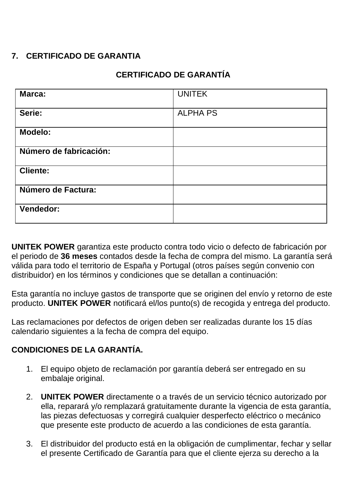# **7. CERTIFICADO DE GARANTIA**

### **CERTIFICADO DE GARANTÍA**

| Marca:                 | <b>UNITEK</b>   |
|------------------------|-----------------|
| Serie:                 | <b>ALPHA PS</b> |
| Modelo:                |                 |
| Número de fabricación: |                 |
| <b>Cliente:</b>        |                 |
| Número de Factura:     |                 |
| Vendedor:              |                 |

**UNITEK POWER** garantiza este producto contra todo vicio o defecto de fabricación por el periodo de **36 meses** contados desde la fecha de compra del mismo. La garantía será válida para todo el territorio de España y Portugal (otros países según convenio con distribuidor) en los términos y condiciones que se detallan a continuación:

Esta garantía no incluye gastos de transporte que se originen del envío y retorno de este producto. **UNITEK POWER** notificará el/los punto(s) de recogida y entrega del producto.

Las reclamaciones por defectos de origen deben ser realizadas durante los 15 días calendario siguientes a la fecha de compra del equipo.

#### **CONDICIONES DE LA GARANTÍA.**

- 1. El equipo objeto de reclamación por garantía deberá ser entregado en su embalaje original.
- 2. **UNITEK POWER** directamente o a través de un servicio técnico autorizado por ella, reparará y/o remplazará gratuitamente durante la vigencia de esta garantía, las piezas defectuosas y corregirá cualquier desperfecto eléctrico o mecánico que presente este producto de acuerdo a las condiciones de esta garantía.
- 3. El distribuidor del producto está en la obligación de cumplimentar, fechar y sellar el presente Certificado de Garantía para que el cliente ejerza su derecho a la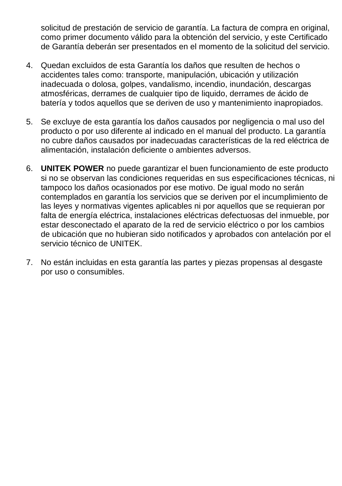solicitud de prestación de servicio de garantía. La factura de compra en original, como primer documento válido para la obtención del servicio, y este Certificado de Garantía deberán ser presentados en el momento de la solicitud del servicio.

- 4. Quedan excluidos de esta Garantía los daños que resulten de hechos o accidentes tales como: transporte, manipulación, ubicación y utilización inadecuada o dolosa, golpes, vandalismo, incendio, inundación, descargas atmosféricas, derrames de cualquier tipo de liquido, derrames de ácido de batería y todos aquellos que se deriven de uso y mantenimiento inapropiados.
- 5. Se excluye de esta garantía los daños causados por negligencia o mal uso del producto o por uso diferente al indicado en el manual del producto. La garantía no cubre daños causados por inadecuadas características de la red eléctrica de alimentación, instalación deficiente o ambientes adversos.
- 6. **UNITEK POWER** no puede garantizar el buen funcionamiento de este producto si no se observan las condiciones requeridas en sus especificaciones técnicas, ni tampoco los daños ocasionados por ese motivo. De igual modo no serán contemplados en garantía los servicios que se deriven por el incumplimiento de las leyes y normativas vigentes aplicables ni por aquellos que se requieran por falta de energía eléctrica, instalaciones eléctricas defectuosas del inmueble, por estar desconectado el aparato de la red de servicio eléctrico o por los cambios de ubicación que no hubieran sido notificados y aprobados con antelación por el servicio técnico de UNITEK.
- 7. No están incluidas en esta garantía las partes y piezas propensas al desgaste por uso o consumibles.